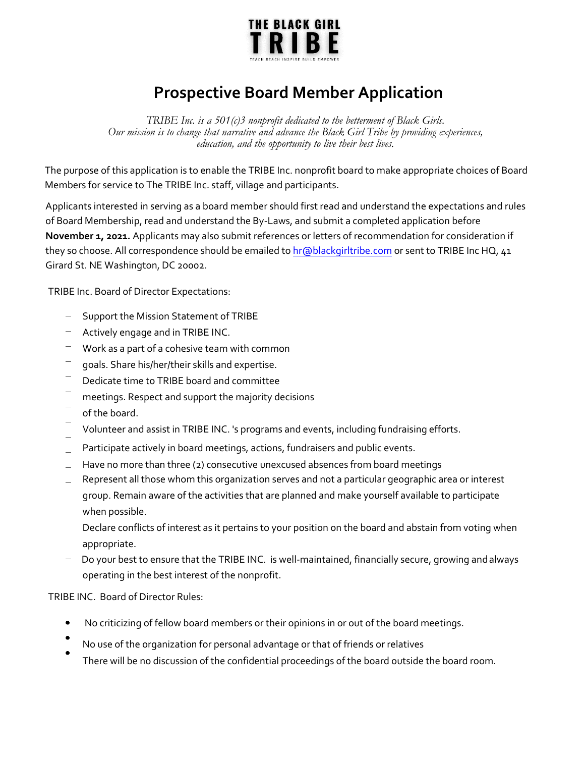

## **Prospective Board Member Application**

*TRIBE Inc. is a 501(c)3 nonprofit dedicated to the betterment of Black Girls. Our mission is to change that narrative and advance the Black Girl Tribe by providing experiences, education, and the opportunity to live their best lives.*

The purpose of this application is to enable the TRIBE Inc. nonprofit board to make appropriate choices of Board Members for service to The TRIBE Inc. staff, village and participants.

Applicants interested in serving as a board member should first read and understand the expectations and rules of Board Membership, read and understand the By-Laws, and submit a completed application before **November 1, 2021.** Applicants may also submit references or letters of recommendation for consideration if they so choose. All correspondence should be emailed to hr@blackgirltribe.com or sent to TRIBE Inc HQ, 41 Girard St. NE Washington, DC 20002.

TRIBE Inc. Board of Director Expectations:

- Support the Mission Statement of TRIBE
- Actively engage and in TRIBE INC.
- Work as a part of a cohesive team with common
- goals. Share his/her/their skills and expertise.
- Dedicate time to TRIBE board and committee
- meetings. Respect and support the majority decisions
- of the board.
- Volunteer and assist in TRIBE INC. 's programs and events, including fundraising efforts.
- Participate actively in board meetings, actions, fundraisers and public events.
- $\overline{\phantom{a}}$  Have no more than three (2) consecutive unexcused absences from board meetings
- Represent all those whom this organization serves and not a particular geographic area or interest  $\equiv$ group. Remain aware of the activities that are planned and make yourself available to participate when possible.

Declare conflicts of interest as it pertains to your position on the board and abstain from voting when appropriate.

Do your best to ensure that the TRIBE INC. is well-maintained, financially secure, growing andalways operating in the best interest of the nonprofit.

TRIBE INC. Board of Director Rules:

- No criticizing of fellow board members or their opinions in or out of the board meetings.
- No use of the organization for personal advantage or that of friends or relatives
- There will be no discussion of the confidential proceedings of the board outside the board room.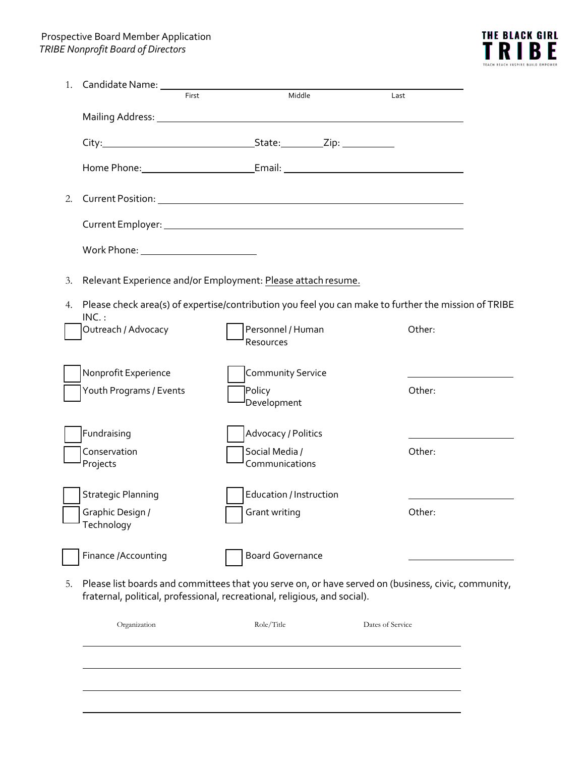## Prospective Board Member Application *TRIBE Nonprofit Board of Directors*

| THE BLACK GIRL          |     |         |
|-------------------------|-----|---------|
| R                       |     |         |
| TEACH REACH INSPIRE BUI | LD. | EMPOWER |

| 1. | Candidate Name: ________               |                                                                                                                                                                                                                                      |        |
|----|----------------------------------------|--------------------------------------------------------------------------------------------------------------------------------------------------------------------------------------------------------------------------------------|--------|
|    | First                                  | Middle                                                                                                                                                                                                                               | Last   |
|    |                                        |                                                                                                                                                                                                                                      |        |
|    |                                        |                                                                                                                                                                                                                                      |        |
|    |                                        |                                                                                                                                                                                                                                      |        |
| 2. |                                        | Current Position: <u>contract and the contract of the contract of the contract of the contract of the contract of the contract of the contract of the contract of the contract of the contract of the contract of the contract o</u> |        |
|    |                                        |                                                                                                                                                                                                                                      |        |
|    | Work Phone: __________________________ |                                                                                                                                                                                                                                      |        |
| 3. |                                        | Relevant Experience and/or Employment: Please attach resume.                                                                                                                                                                         |        |
| 4. | $INC.$ :                               | Please check area(s) of expertise/contribution you feel you can make to further the mission of TRIBE                                                                                                                                 |        |
|    | Outreach / Advocacy                    | Personnel / Human<br>Resources                                                                                                                                                                                                       | Other: |
|    | Nonprofit Experience                   | <b>Community Service</b>                                                                                                                                                                                                             |        |
|    | Youth Programs / Events                | Policy<br>Development                                                                                                                                                                                                                | Other: |
|    | Fundraising                            | Advocacy / Politics                                                                                                                                                                                                                  |        |
|    | Conservation<br>Projects               | Social Media /<br>Communications                                                                                                                                                                                                     | Other: |
|    | <b>Strategic Planning</b>              | Education / Instruction                                                                                                                                                                                                              |        |
|    | Graphic Design /<br>Technology         | <b>Grant writing</b>                                                                                                                                                                                                                 | Other: |
|    | Finance /Accounting                    | <b>Board Governance</b>                                                                                                                                                                                                              |        |

5. Please list boards and committees that you serve on, or have served on (business, civic, community, fraternal, political, professional, recreational, religious, and social).

| Organization | Role/Title | Dates of Service |
|--------------|------------|------------------|
|              |            |                  |
|              |            |                  |
|              |            |                  |
|              |            |                  |
|              |            |                  |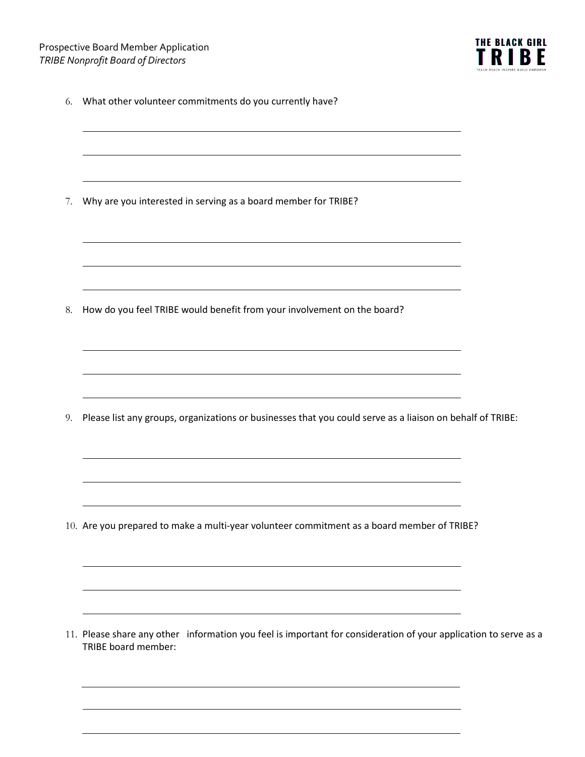Prospective Board Member Application *TRIBE Nonprofit Board of Directors* 



| 6. | What other volunteer commitments do you currently have?                                                                                                                                                            |  |
|----|--------------------------------------------------------------------------------------------------------------------------------------------------------------------------------------------------------------------|--|
| 7. | <u> 1989 - Andrea Andrew Maria (h. 1989).</u><br>Why are you interested in serving as a board member for TRIBE?                                                                                                    |  |
| 8. | How do you feel TRIBE would benefit from your involvement on the board?                                                                                                                                            |  |
| 9. | Please list any groups, organizations or businesses that you could serve as a liaison on behalf of TRIBE:                                                                                                          |  |
|    | 10. Are you prepared to make a multi-year volunteer commitment as a board member of TRIBE?<br><u> 1989 - Jan James James James James James James James James James James James James James James James James J</u> |  |
|    | 11. Please share any other information you feel is important for consideration of your application to serve as a<br>TRIBE board member:                                                                            |  |